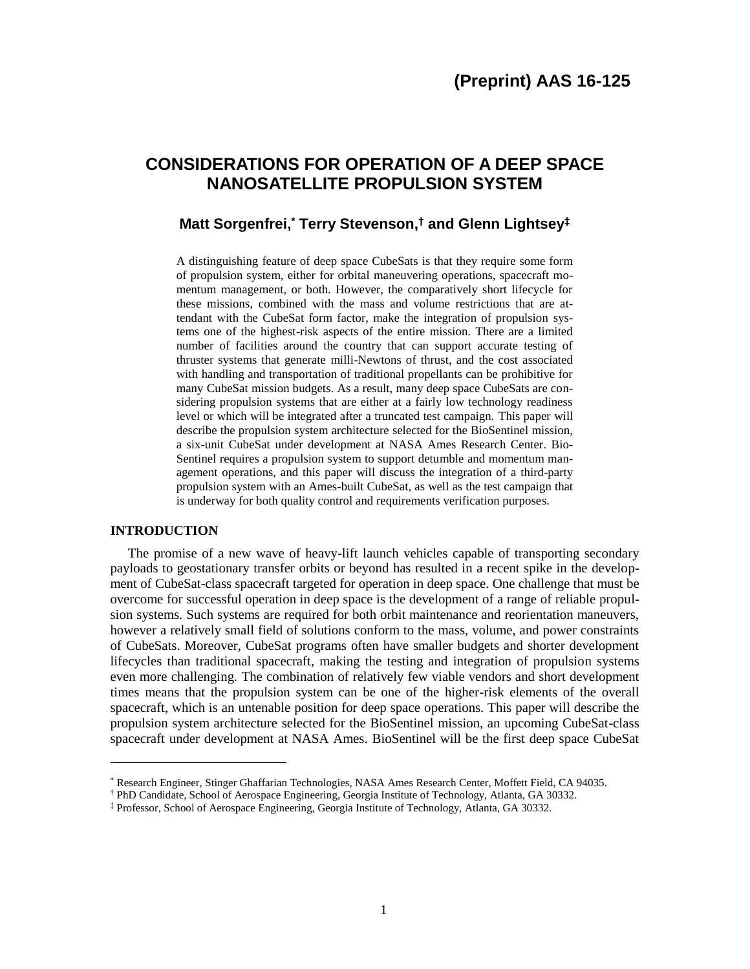# **CONSIDERATIONS FOR OPERATION OF A DEEP SPACE NANOSATELLITE PROPULSION SYSTEM**

# **Matt Sorgenfrei, \* Terry Stevenson, † and Glenn Lightsey‡**

A distinguishing feature of deep space CubeSats is that they require some form of propulsion system, either for orbital maneuvering operations, spacecraft momentum management, or both. However, the comparatively short lifecycle for these missions, combined with the mass and volume restrictions that are attendant with the CubeSat form factor, make the integration of propulsion systems one of the highest-risk aspects of the entire mission. There are a limited number of facilities around the country that can support accurate testing of thruster systems that generate milli-Newtons of thrust, and the cost associated with handling and transportation of traditional propellants can be prohibitive for many CubeSat mission budgets. As a result, many deep space CubeSats are considering propulsion systems that are either at a fairly low technology readiness level or which will be integrated after a truncated test campaign. This paper will describe the propulsion system architecture selected for the BioSentinel mission, a six-unit CubeSat under development at NASA Ames Research Center. Bio-Sentinel requires a propulsion system to support detumble and momentum management operations, and this paper will discuss the integration of a third-party propulsion system with an Ames-built CubeSat, as well as the test campaign that is underway for both quality control and requirements verification purposes.

# **INTRODUCTION**

 $\overline{\phantom{a}}$ 

The promise of a new wave of heavy-lift launch vehicles capable of transporting secondary payloads to geostationary transfer orbits or beyond has resulted in a recent spike in the development of CubeSat-class spacecraft targeted for operation in deep space. One challenge that must be overcome for successful operation in deep space is the development of a range of reliable propulsion systems. Such systems are required for both orbit maintenance and reorientation maneuvers, however a relatively small field of solutions conform to the mass, volume, and power constraints of CubeSats. Moreover, CubeSat programs often have smaller budgets and shorter development lifecycles than traditional spacecraft, making the testing and integration of propulsion systems even more challenging. The combination of relatively few viable vendors and short development times means that the propulsion system can be one of the higher-risk elements of the overall spacecraft, which is an untenable position for deep space operations. This paper will describe the propulsion system architecture selected for the BioSentinel mission, an upcoming CubeSat-class spacecraft under development at NASA Ames. BioSentinel will be the first deep space CubeSat

<sup>\*</sup> Research Engineer, Stinger Ghaffarian Technologies, NASA Ames Research Center, Moffett Field, CA 94035.

<sup>†</sup> PhD Candidate, School of Aerospace Engineering, Georgia Institute of Technology, Atlanta, GA 30332.

<sup>‡</sup> Professor, School of Aerospace Engineering, Georgia Institute of Technology, Atlanta, GA 30332.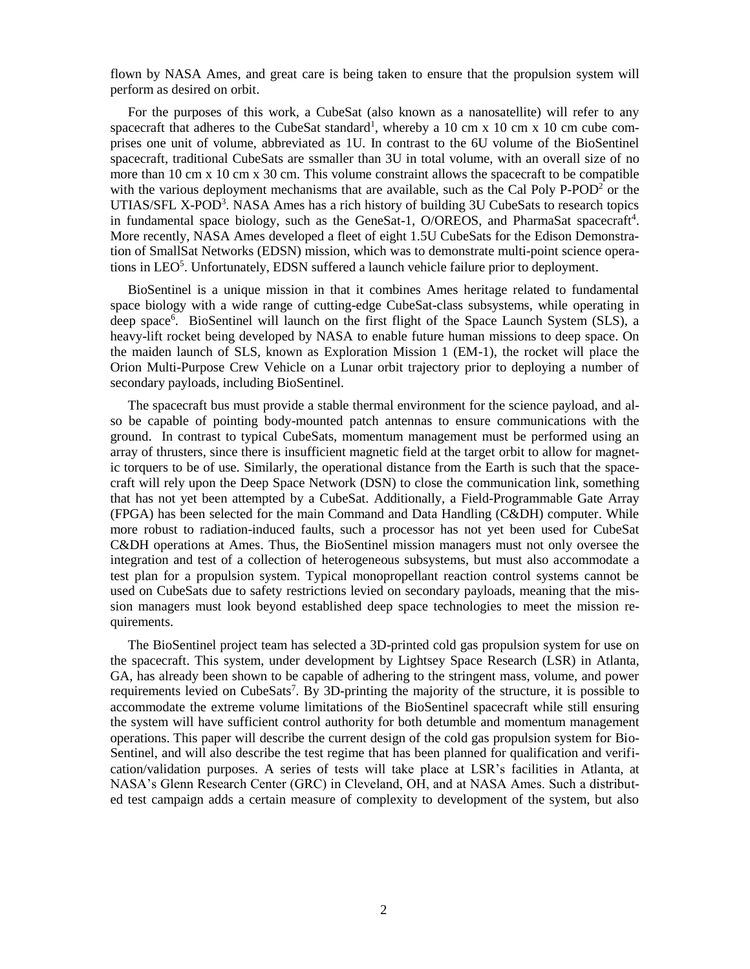flown by NASA Ames, and great care is being taken to ensure that the propulsion system will perform as desired on orbit.

For the purposes of this work, a CubeSat (also known as a nanosatellite) will refer to any spacecraft that adheres to the CubeSat standard<sup>1</sup>, whereby a 10 cm x 10 cm x 10 cm cube comprises one unit of volume, abbreviated as 1U. In contrast to the 6U volume of the BioSentinel spacecraft, traditional CubeSats are ssmaller than 3U in total volume, with an overall size of no more than 10 cm x 10 cm x 30 cm. This volume constraint allows the spacecraft to be compatible with the various deployment mechanisms that are available, such as the Cal Poly P-POD<sup>2</sup> or the UTIAS/SFL X-POD<sup>3</sup>. NASA Ames has a rich history of building 3U CubeSats to research topics in fundamental space biology, such as the GeneSat-1, O/OREOS, and PharmaSat spacecraft<sup>4</sup>. More recently, NASA Ames developed a fleet of eight 1.5U CubeSats for the Edison Demonstration of SmallSat Networks (EDSN) mission, which was to demonstrate multi-point science operations in LEO<sup>5</sup>. Unfortunately, EDSN suffered a launch vehicle failure prior to deployment.

BioSentinel is a unique mission in that it combines Ames heritage related to fundamental space biology with a wide range of cutting-edge CubeSat-class subsystems, while operating in deep space<sup>6</sup>. BioSentinel will launch on the first flight of the Space Launch System (SLS), a heavy-lift rocket being developed by NASA to enable future human missions to deep space. On the maiden launch of SLS, known as Exploration Mission 1 (EM-1), the rocket will place the Orion Multi-Purpose Crew Vehicle on a Lunar orbit trajectory prior to deploying a number of secondary payloads, including BioSentinel.

The spacecraft bus must provide a stable thermal environment for the science payload, and also be capable of pointing body-mounted patch antennas to ensure communications with the ground. In contrast to typical CubeSats, momentum management must be performed using an array of thrusters, since there is insufficient magnetic field at the target orbit to allow for magnetic torquers to be of use. Similarly, the operational distance from the Earth is such that the spacecraft will rely upon the Deep Space Network (DSN) to close the communication link, something that has not yet been attempted by a CubeSat. Additionally, a Field-Programmable Gate Array (FPGA) has been selected for the main Command and Data Handling (C&DH) computer. While more robust to radiation-induced faults, such a processor has not yet been used for CubeSat C&DH operations at Ames. Thus, the BioSentinel mission managers must not only oversee the integration and test of a collection of heterogeneous subsystems, but must also accommodate a test plan for a propulsion system. Typical monopropellant reaction control systems cannot be used on CubeSats due to safety restrictions levied on secondary payloads, meaning that the mission managers must look beyond established deep space technologies to meet the mission requirements.

The BioSentinel project team has selected a 3D-printed cold gas propulsion system for use on the spacecraft. This system, under development by Lightsey Space Research (LSR) in Atlanta, GA, has already been shown to be capable of adhering to the stringent mass, volume, and power requirements levied on CubeSats<sup>7</sup>. By 3D-printing the majority of the structure, it is possible to accommodate the extreme volume limitations of the BioSentinel spacecraft while still ensuring the system will have sufficient control authority for both detumble and momentum management operations. This paper will describe the current design of the cold gas propulsion system for Bio-Sentinel, and will also describe the test regime that has been planned for qualification and verification/validation purposes. A series of tests will take place at LSR's facilities in Atlanta, at NASA's Glenn Research Center (GRC) in Cleveland, OH, and at NASA Ames. Such a distributed test campaign adds a certain measure of complexity to development of the system, but also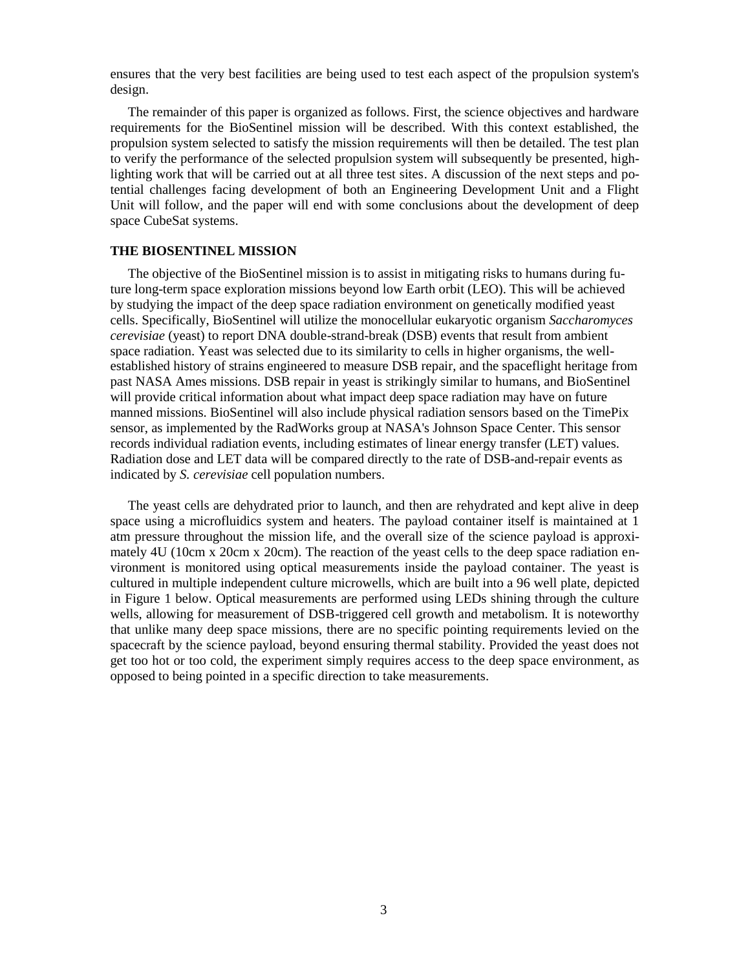ensures that the very best facilities are being used to test each aspect of the propulsion system's design.

The remainder of this paper is organized as follows. First, the science objectives and hardware requirements for the BioSentinel mission will be described. With this context established, the propulsion system selected to satisfy the mission requirements will then be detailed. The test plan to verify the performance of the selected propulsion system will subsequently be presented, highlighting work that will be carried out at all three test sites. A discussion of the next steps and potential challenges facing development of both an Engineering Development Unit and a Flight Unit will follow, and the paper will end with some conclusions about the development of deep space CubeSat systems.

# **THE BIOSENTINEL MISSION**

The objective of the BioSentinel mission is to assist in mitigating risks to humans during future long-term space exploration missions beyond low Earth orbit (LEO). This will be achieved by studying the impact of the deep space radiation environment on genetically modified yeast cells. Specifically, BioSentinel will utilize the monocellular eukaryotic organism *Saccharomyces cerevisiae* (yeast) to report DNA double-strand-break (DSB) events that result from ambient space radiation. Yeast was selected due to its similarity to cells in higher organisms, the wellestablished history of strains engineered to measure DSB repair, and the spaceflight heritage from past NASA Ames missions. DSB repair in yeast is strikingly similar to humans, and BioSentinel will provide critical information about what impact deep space radiation may have on future manned missions. BioSentinel will also include physical radiation sensors based on the TimePix sensor, as implemented by the RadWorks group at NASA's Johnson Space Center. This sensor records individual radiation events, including estimates of linear energy transfer (LET) values. Radiation dose and LET data will be compared directly to the rate of DSB-and-repair events as indicated by *S. cerevisiae* cell population numbers.

The yeast cells are dehydrated prior to launch, and then are rehydrated and kept alive in deep space using a microfluidics system and heaters. The payload container itself is maintained at 1 atm pressure throughout the mission life, and the overall size of the science payload is approximately 4U (10cm x 20cm x 20cm). The reaction of the yeast cells to the deep space radiation environment is monitored using optical measurements inside the payload container. The yeast is cultured in multiple independent culture microwells, which are built into a 96 well plate, depicted in Figure 1 below. Optical measurements are performed using LEDs shining through the culture wells, allowing for measurement of DSB-triggered cell growth and metabolism. It is noteworthy that unlike many deep space missions, there are no specific pointing requirements levied on the spacecraft by the science payload, beyond ensuring thermal stability. Provided the yeast does not get too hot or too cold, the experiment simply requires access to the deep space environment, as opposed to being pointed in a specific direction to take measurements.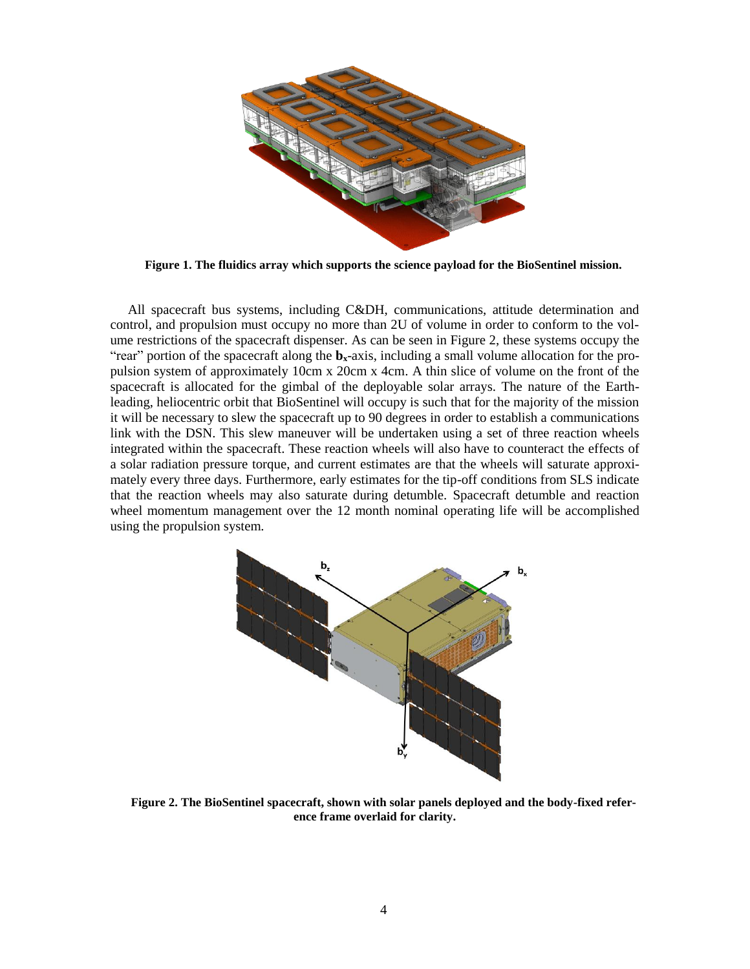

**Figure 1. The fluidics array which supports the science payload for the BioSentinel mission.**

All spacecraft bus systems, including C&DH, communications, attitude determination and control, and propulsion must occupy no more than 2U of volume in order to conform to the volume restrictions of the spacecraft dispenser. As can be seen in Figure 2, these systems occupy the "rear" portion of the spacecraft along the  $\mathbf{b}_x$ -axis, including a small volume allocation for the propulsion system of approximately 10cm x 20cm x 4cm. A thin slice of volume on the front of the spacecraft is allocated for the gimbal of the deployable solar arrays. The nature of the Earthleading, heliocentric orbit that BioSentinel will occupy is such that for the majority of the mission it will be necessary to slew the spacecraft up to 90 degrees in order to establish a communications link with the DSN. This slew maneuver will be undertaken using a set of three reaction wheels integrated within the spacecraft. These reaction wheels will also have to counteract the effects of a solar radiation pressure torque, and current estimates are that the wheels will saturate approximately every three days. Furthermore, early estimates for the tip-off conditions from SLS indicate that the reaction wheels may also saturate during detumble. Spacecraft detumble and reaction wheel momentum management over the 12 month nominal operating life will be accomplished using the propulsion system.



**Figure 2. The BioSentinel spacecraft, shown with solar panels deployed and the body-fixed reference frame overlaid for clarity.**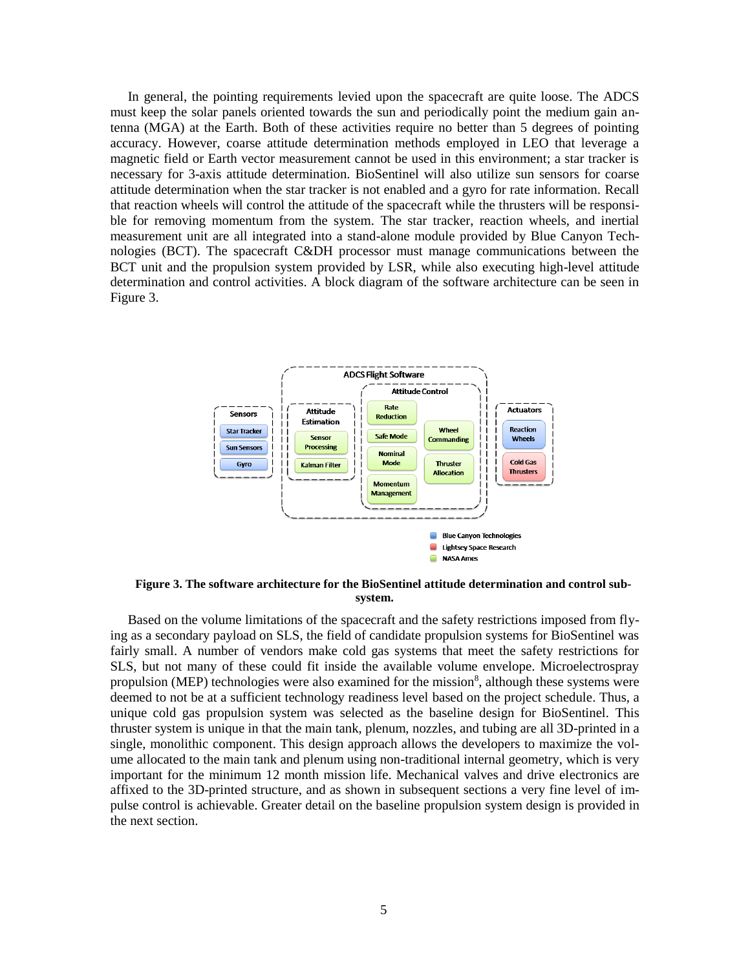In general, the pointing requirements levied upon the spacecraft are quite loose. The ADCS must keep the solar panels oriented towards the sun and periodically point the medium gain antenna (MGA) at the Earth. Both of these activities require no better than 5 degrees of pointing accuracy. However, coarse attitude determination methods employed in LEO that leverage a magnetic field or Earth vector measurement cannot be used in this environment; a star tracker is necessary for 3-axis attitude determination. BioSentinel will also utilize sun sensors for coarse attitude determination when the star tracker is not enabled and a gyro for rate information. Recall that reaction wheels will control the attitude of the spacecraft while the thrusters will be responsible for removing momentum from the system. The star tracker, reaction wheels, and inertial measurement unit are all integrated into a stand-alone module provided by Blue Canyon Technologies (BCT). The spacecraft C&DH processor must manage communications between the BCT unit and the propulsion system provided by LSR, while also executing high-level attitude determination and control activities. A block diagram of the software architecture can be seen in Figure 3.



**Figure 3. The software architecture for the BioSentinel attitude determination and control subsystem.**

Based on the volume limitations of the spacecraft and the safety restrictions imposed from flying as a secondary payload on SLS, the field of candidate propulsion systems for BioSentinel was fairly small. A number of vendors make cold gas systems that meet the safety restrictions for SLS, but not many of these could fit inside the available volume envelope. Microelectrospray propulsion (MEP) technologies were also examined for the mission<sup>8</sup>, although these systems were deemed to not be at a sufficient technology readiness level based on the project schedule. Thus, a unique cold gas propulsion system was selected as the baseline design for BioSentinel. This thruster system is unique in that the main tank, plenum, nozzles, and tubing are all 3D-printed in a single, monolithic component. This design approach allows the developers to maximize the volume allocated to the main tank and plenum using non-traditional internal geometry, which is very important for the minimum 12 month mission life. Mechanical valves and drive electronics are affixed to the 3D-printed structure, and as shown in subsequent sections a very fine level of impulse control is achievable. Greater detail on the baseline propulsion system design is provided in the next section.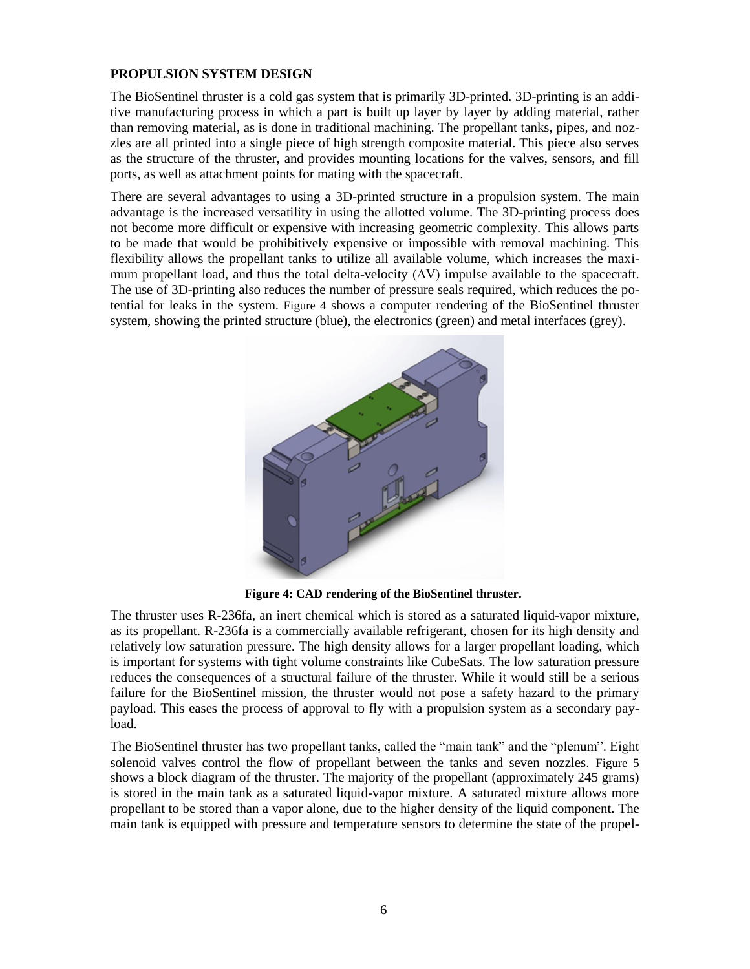# **PROPULSION SYSTEM DESIGN**

The BioSentinel thruster is a cold gas system that is primarily 3D-printed. 3D-printing is an additive manufacturing process in which a part is built up layer by layer by adding material, rather than removing material, as is done in traditional machining. The propellant tanks, pipes, and nozzles are all printed into a single piece of high strength composite material. This piece also serves as the structure of the thruster, and provides mounting locations for the valves, sensors, and fill ports, as well as attachment points for mating with the spacecraft.

There are several advantages to using a 3D-printed structure in a propulsion system. The main advantage is the increased versatility in using the allotted volume. The 3D-printing process does not become more difficult or expensive with increasing geometric complexity. This allows parts to be made that would be prohibitively expensive or impossible with removal machining. This flexibility allows the propellant tanks to utilize all available volume, which increases the maximum propellant load, and thus the total delta-velocity  $(\Delta V)$  impulse available to the spacecraft. The use of 3D-printing also reduces the number of pressure seals required, which reduces the potential for leaks in the system. [Figure 4](#page-5-0) shows a computer rendering of the BioSentinel thruster system, showing the printed structure (blue), the electronics (green) and metal interfaces (grey).



**Figure 4: CAD rendering of the BioSentinel thruster.**

<span id="page-5-0"></span>The thruster uses R-236fa, an inert chemical which is stored as a saturated liquid-vapor mixture, as its propellant. R-236fa is a commercially available refrigerant, chosen for its high density and relatively low saturation pressure. The high density allows for a larger propellant loading, which is important for systems with tight volume constraints like CubeSats. The low saturation pressure reduces the consequences of a structural failure of the thruster. While it would still be a serious failure for the BioSentinel mission, the thruster would not pose a safety hazard to the primary payload. This eases the process of approval to fly with a propulsion system as a secondary payload.

The BioSentinel thruster has two propellant tanks, called the "main tank" and the "plenum". Eight solenoid valves control the flow of propellant between the tanks and seven nozzles. [Figure 5](#page-6-0) shows a block diagram of the thruster. The majority of the propellant (approximately 245 grams) is stored in the main tank as a saturated liquid-vapor mixture. A saturated mixture allows more propellant to be stored than a vapor alone, due to the higher density of the liquid component. The main tank is equipped with pressure and temperature sensors to determine the state of the propel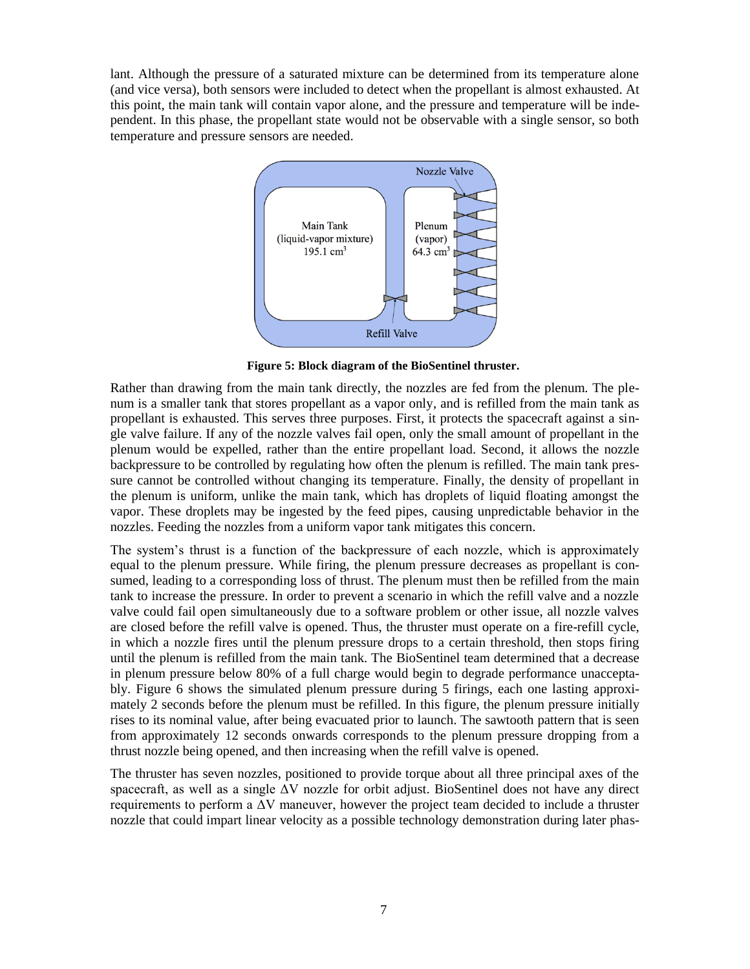lant. Although the pressure of a saturated mixture can be determined from its temperature alone (and vice versa), both sensors were included to detect when the propellant is almost exhausted. At this point, the main tank will contain vapor alone, and the pressure and temperature will be independent. In this phase, the propellant state would not be observable with a single sensor, so both temperature and pressure sensors are needed.



**Figure 5: Block diagram of the BioSentinel thruster.**

<span id="page-6-0"></span>Rather than drawing from the main tank directly, the nozzles are fed from the plenum. The plenum is a smaller tank that stores propellant as a vapor only, and is refilled from the main tank as propellant is exhausted. This serves three purposes. First, it protects the spacecraft against a single valve failure. If any of the nozzle valves fail open, only the small amount of propellant in the plenum would be expelled, rather than the entire propellant load. Second, it allows the nozzle backpressure to be controlled by regulating how often the plenum is refilled. The main tank pressure cannot be controlled without changing its temperature. Finally, the density of propellant in the plenum is uniform, unlike the main tank, which has droplets of liquid floating amongst the vapor. These droplets may be ingested by the feed pipes, causing unpredictable behavior in the nozzles. Feeding the nozzles from a uniform vapor tank mitigates this concern.

The system's thrust is a function of the backpressure of each nozzle, which is approximately equal to the plenum pressure. While firing, the plenum pressure decreases as propellant is consumed, leading to a corresponding loss of thrust. The plenum must then be refilled from the main tank to increase the pressure. In order to prevent a scenario in which the refill valve and a nozzle valve could fail open simultaneously due to a software problem or other issue, all nozzle valves are closed before the refill valve is opened. Thus, the thruster must operate on a fire-refill cycle, in which a nozzle fires until the plenum pressure drops to a certain threshold, then stops firing until the plenum is refilled from the main tank. The BioSentinel team determined that a decrease in plenum pressure below 80% of a full charge would begin to degrade performance unacceptably. Figure 6 shows the simulated plenum pressure during 5 firings, each one lasting approximately 2 seconds before the plenum must be refilled. In this figure, the plenum pressure initially rises to its nominal value, after being evacuated prior to launch. The sawtooth pattern that is seen from approximately 12 seconds onwards corresponds to the plenum pressure dropping from a thrust nozzle being opened, and then increasing when the refill valve is opened.

The thruster has seven nozzles, positioned to provide torque about all three principal axes of the spacecraft, as well as a single ΔV nozzle for orbit adjust. BioSentinel does not have any direct requirements to perform a ΔV maneuver, however the project team decided to include a thruster nozzle that could impart linear velocity as a possible technology demonstration during later phas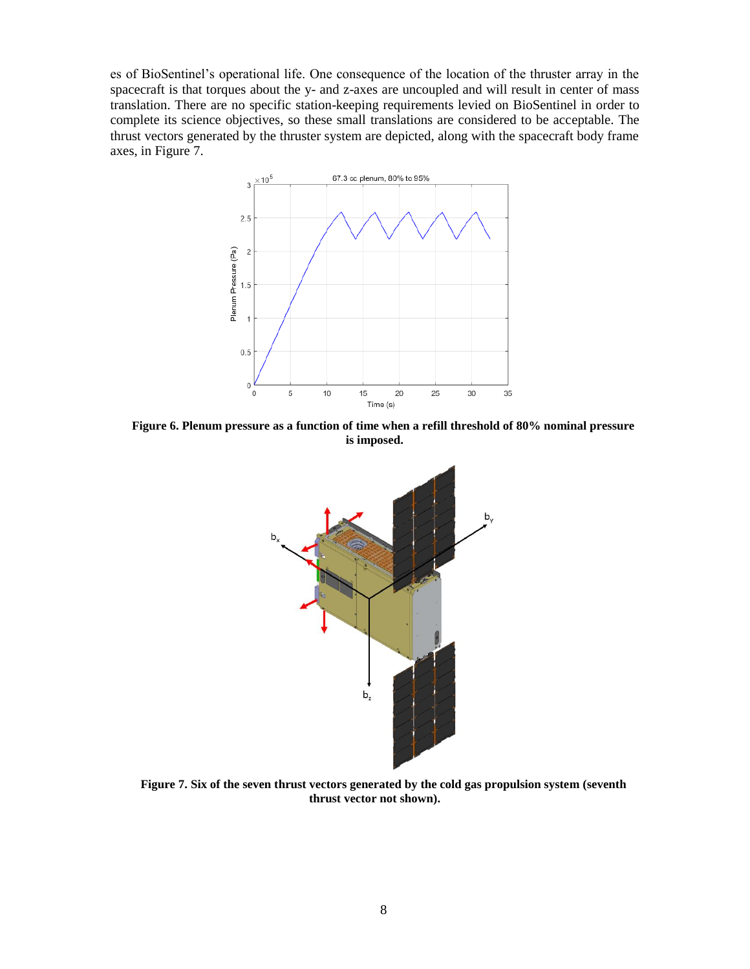es of BioSentinel's operational life. One consequence of the location of the thruster array in the spacecraft is that torques about the y- and z-axes are uncoupled and will result in center of mass translation. There are no specific station-keeping requirements levied on BioSentinel in order to complete its science objectives, so these small translations are considered to be acceptable. The thrust vectors generated by the thruster system are depicted, along with the spacecraft body frame axes, in Figure 7.



**Figure 6. Plenum pressure as a function of time when a refill threshold of 80% nominal pressure is imposed.**



**Figure 7. Six of the seven thrust vectors generated by the cold gas propulsion system (seventh thrust vector not shown).**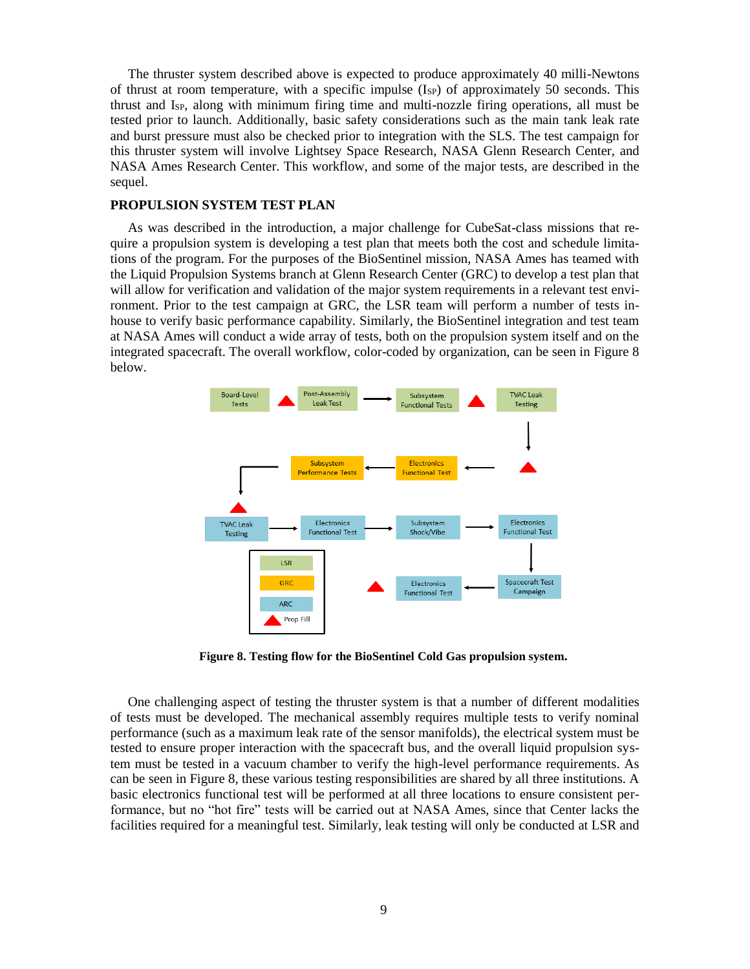The thruster system described above is expected to produce approximately 40 milli-Newtons of thrust at room temperature, with a specific impulse  $(I_{SP})$  of approximately 50 seconds. This thrust and  $I_{SP}$ , along with minimum firing time and multi-nozzle firing operations, all must be tested prior to launch. Additionally, basic safety considerations such as the main tank leak rate and burst pressure must also be checked prior to integration with the SLS. The test campaign for this thruster system will involve Lightsey Space Research, NASA Glenn Research Center, and NASA Ames Research Center. This workflow, and some of the major tests, are described in the sequel.

#### **PROPULSION SYSTEM TEST PLAN**

As was described in the introduction, a major challenge for CubeSat-class missions that require a propulsion system is developing a test plan that meets both the cost and schedule limitations of the program. For the purposes of the BioSentinel mission, NASA Ames has teamed with the Liquid Propulsion Systems branch at Glenn Research Center (GRC) to develop a test plan that will allow for verification and validation of the major system requirements in a relevant test environment. Prior to the test campaign at GRC, the LSR team will perform a number of tests inhouse to verify basic performance capability. Similarly, the BioSentinel integration and test team at NASA Ames will conduct a wide array of tests, both on the propulsion system itself and on the integrated spacecraft. The overall workflow, color-coded by organization, can be seen in Figure 8 below.



**Figure 8. Testing flow for the BioSentinel Cold Gas propulsion system.**

One challenging aspect of testing the thruster system is that a number of different modalities of tests must be developed. The mechanical assembly requires multiple tests to verify nominal performance (such as a maximum leak rate of the sensor manifolds), the electrical system must be tested to ensure proper interaction with the spacecraft bus, and the overall liquid propulsion system must be tested in a vacuum chamber to verify the high-level performance requirements. As can be seen in Figure 8, these various testing responsibilities are shared by all three institutions. A basic electronics functional test will be performed at all three locations to ensure consistent performance, but no "hot fire" tests will be carried out at NASA Ames, since that Center lacks the facilities required for a meaningful test. Similarly, leak testing will only be conducted at LSR and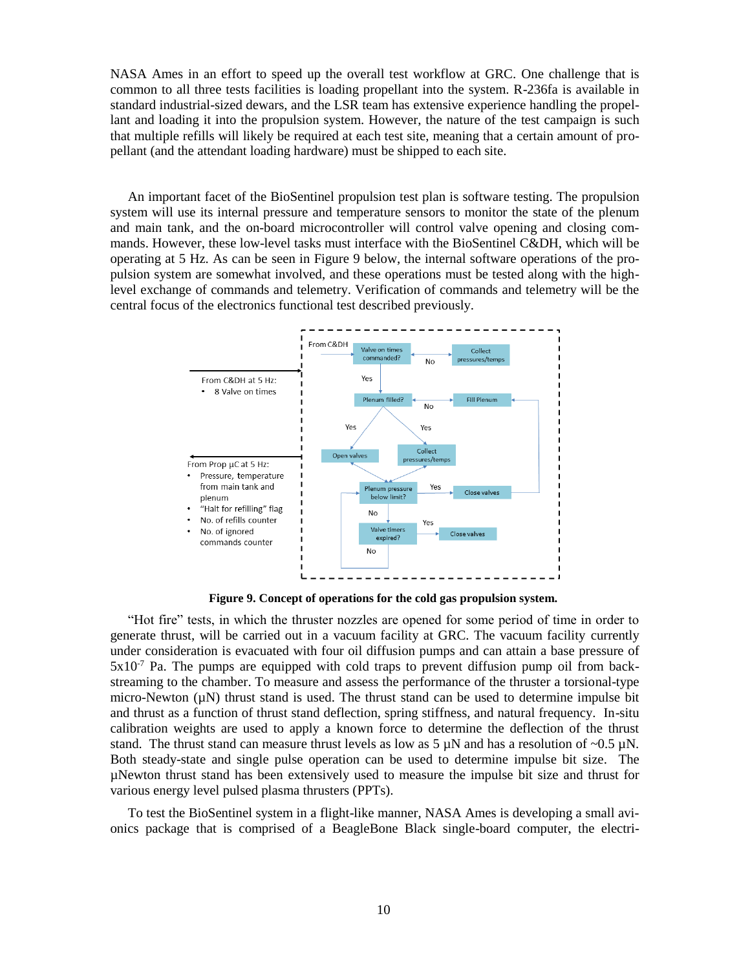NASA Ames in an effort to speed up the overall test workflow at GRC. One challenge that is common to all three tests facilities is loading propellant into the system. R-236fa is available in standard industrial-sized dewars, and the LSR team has extensive experience handling the propellant and loading it into the propulsion system. However, the nature of the test campaign is such that multiple refills will likely be required at each test site, meaning that a certain amount of propellant (and the attendant loading hardware) must be shipped to each site.

An important facet of the BioSentinel propulsion test plan is software testing. The propulsion system will use its internal pressure and temperature sensors to monitor the state of the plenum and main tank, and the on-board microcontroller will control valve opening and closing commands. However, these low-level tasks must interface with the BioSentinel C&DH, which will be operating at 5 Hz. As can be seen in Figure 9 below, the internal software operations of the propulsion system are somewhat involved, and these operations must be tested along with the highlevel exchange of commands and telemetry. Verification of commands and telemetry will be the central focus of the electronics functional test described previously.



**Figure 9. Concept of operations for the cold gas propulsion system.**

"Hot fire" tests, in which the thruster nozzles are opened for some period of time in order to generate thrust, will be carried out in a vacuum facility at GRC. The vacuum facility currently under consideration is evacuated with four oil diffusion pumps and can attain a base pressure of  $5x10<sup>-7</sup>$  Pa. The pumps are equipped with cold traps to prevent diffusion pump oil from backstreaming to the chamber. To measure and assess the performance of the thruster a torsional-type micro-Newton  $(\mu N)$  thrust stand is used. The thrust stand can be used to determine impulse bit and thrust as a function of thrust stand deflection, spring stiffness, and natural frequency. In-situ calibration weights are used to apply a known force to determine the deflection of the thrust stand. The thrust stand can measure thrust levels as low as 5  $\mu$ N and has a resolution of ~0.5  $\mu$ N. Both steady-state and single pulse operation can be used to determine impulse bit size. The µNewton thrust stand has been extensively used to measure the impulse bit size and thrust for various energy level pulsed plasma thrusters (PPTs).

To test the BioSentinel system in a flight-like manner, NASA Ames is developing a small avionics package that is comprised of a BeagleBone Black single-board computer, the electri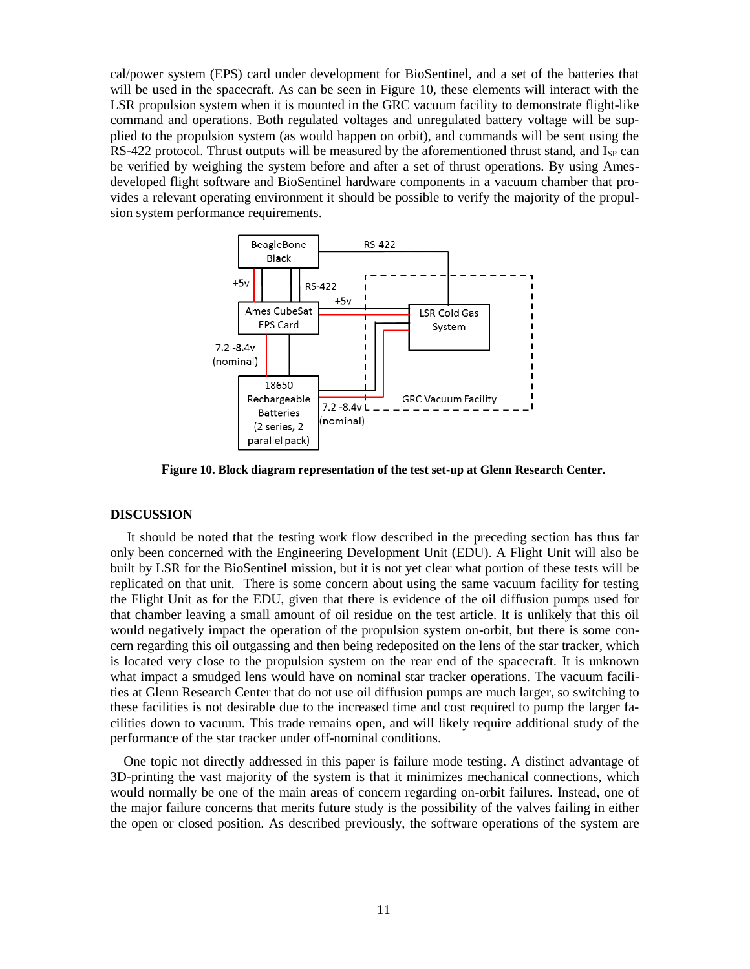cal/power system (EPS) card under development for BioSentinel, and a set of the batteries that will be used in the spacecraft. As can be seen in Figure 10, these elements will interact with the LSR propulsion system when it is mounted in the GRC vacuum facility to demonstrate flight-like command and operations. Both regulated voltages and unregulated battery voltage will be supplied to the propulsion system (as would happen on orbit), and commands will be sent using the RS-422 protocol. Thrust outputs will be measured by the aforementioned thrust stand, and  $I_{SP}$  can be verified by weighing the system before and after a set of thrust operations. By using Amesdeveloped flight software and BioSentinel hardware components in a vacuum chamber that provides a relevant operating environment it should be possible to verify the majority of the propulsion system performance requirements.



**Figure 10. Block diagram representation of the test set-up at Glenn Research Center.**

### **DISCUSSION**

It should be noted that the testing work flow described in the preceding section has thus far only been concerned with the Engineering Development Unit (EDU). A Flight Unit will also be built by LSR for the BioSentinel mission, but it is not yet clear what portion of these tests will be replicated on that unit. There is some concern about using the same vacuum facility for testing the Flight Unit as for the EDU, given that there is evidence of the oil diffusion pumps used for that chamber leaving a small amount of oil residue on the test article. It is unlikely that this oil would negatively impact the operation of the propulsion system on-orbit, but there is some concern regarding this oil outgassing and then being redeposited on the lens of the star tracker, which is located very close to the propulsion system on the rear end of the spacecraft. It is unknown what impact a smudged lens would have on nominal star tracker operations. The vacuum facilities at Glenn Research Center that do not use oil diffusion pumps are much larger, so switching to these facilities is not desirable due to the increased time and cost required to pump the larger facilities down to vacuum. This trade remains open, and will likely require additional study of the performance of the star tracker under off-nominal conditions.

 One topic not directly addressed in this paper is failure mode testing. A distinct advantage of 3D-printing the vast majority of the system is that it minimizes mechanical connections, which would normally be one of the main areas of concern regarding on-orbit failures. Instead, one of the major failure concerns that merits future study is the possibility of the valves failing in either the open or closed position. As described previously, the software operations of the system are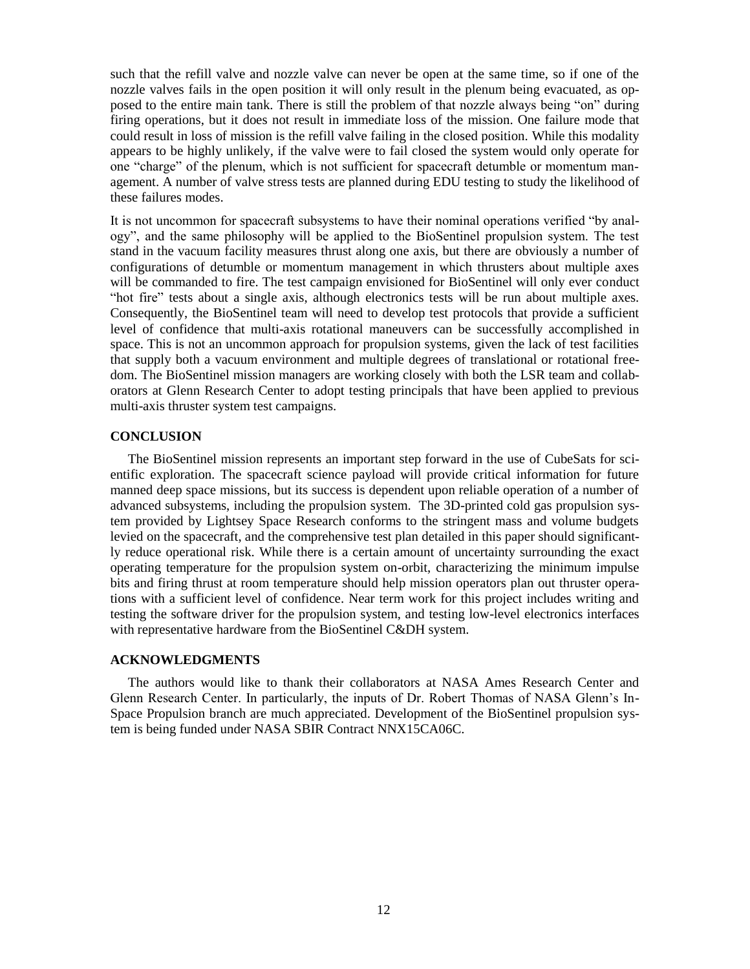such that the refill valve and nozzle valve can never be open at the same time, so if one of the nozzle valves fails in the open position it will only result in the plenum being evacuated, as opposed to the entire main tank. There is still the problem of that nozzle always being "on" during firing operations, but it does not result in immediate loss of the mission. One failure mode that could result in loss of mission is the refill valve failing in the closed position. While this modality appears to be highly unlikely, if the valve were to fail closed the system would only operate for one "charge" of the plenum, which is not sufficient for spacecraft detumble or momentum management. A number of valve stress tests are planned during EDU testing to study the likelihood of these failures modes.

It is not uncommon for spacecraft subsystems to have their nominal operations verified "by analogy", and the same philosophy will be applied to the BioSentinel propulsion system. The test stand in the vacuum facility measures thrust along one axis, but there are obviously a number of configurations of detumble or momentum management in which thrusters about multiple axes will be commanded to fire. The test campaign envisioned for BioSentinel will only ever conduct "hot fire" tests about a single axis, although electronics tests will be run about multiple axes. Consequently, the BioSentinel team will need to develop test protocols that provide a sufficient level of confidence that multi-axis rotational maneuvers can be successfully accomplished in space. This is not an uncommon approach for propulsion systems, given the lack of test facilities that supply both a vacuum environment and multiple degrees of translational or rotational freedom. The BioSentinel mission managers are working closely with both the LSR team and collaborators at Glenn Research Center to adopt testing principals that have been applied to previous multi-axis thruster system test campaigns.

# **CONCLUSION**

The BioSentinel mission represents an important step forward in the use of CubeSats for scientific exploration. The spacecraft science payload will provide critical information for future manned deep space missions, but its success is dependent upon reliable operation of a number of advanced subsystems, including the propulsion system. The 3D-printed cold gas propulsion system provided by Lightsey Space Research conforms to the stringent mass and volume budgets levied on the spacecraft, and the comprehensive test plan detailed in this paper should significantly reduce operational risk. While there is a certain amount of uncertainty surrounding the exact operating temperature for the propulsion system on-orbit, characterizing the minimum impulse bits and firing thrust at room temperature should help mission operators plan out thruster operations with a sufficient level of confidence. Near term work for this project includes writing and testing the software driver for the propulsion system, and testing low-level electronics interfaces with representative hardware from the BioSentinel C&DH system.

# **ACKNOWLEDGMENTS**

The authors would like to thank their collaborators at NASA Ames Research Center and Glenn Research Center. In particularly, the inputs of Dr. Robert Thomas of NASA Glenn's In-Space Propulsion branch are much appreciated. Development of the BioSentinel propulsion system is being funded under NASA SBIR Contract NNX15CA06C.